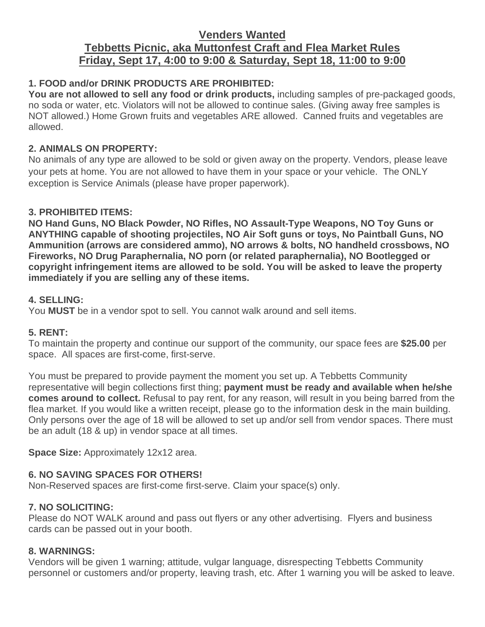# **Venders Wanted Tebbetts Picnic, aka Muttonfest Craft and Flea Market Rules Friday, Sept 17, 4:00 to 9:00 & Saturday, Sept 18, 11:00 to 9:00**

# **1. FOOD and/or DRINK PRODUCTS ARE PROHIBITED:**

**You are not allowed to sell any food or drink products,** including samples of pre-packaged goods, no soda or water, etc. Violators will not be allowed to continue sales. (Giving away free samples is NOT allowed.) Home Grown fruits and vegetables ARE allowed. Canned fruits and vegetables are allowed.

### **2. ANIMALS ON PROPERTY:**

No animals of any type are allowed to be sold or given away on the property. Vendors, please leave your pets at home. You are not allowed to have them in your space or your vehicle. The ONLY exception is Service Animals (please have proper paperwork).

### **3. PROHIBITED ITEMS:**

**NO Hand Guns, NO Black Powder, NO Rifles, NO Assault-Type Weapons, NO Toy Guns or ANYTHING capable of shooting projectiles, NO Air Soft guns or toys, No Paintball Guns, NO Ammunition (arrows are considered ammo), NO arrows & bolts, NO handheld crossbows, NO Fireworks, NO Drug Paraphernalia, NO porn (or related paraphernalia), NO Bootlegged or copyright infringement items are allowed to be sold. You will be asked to leave the property immediately if you are selling any of these items.**

### **4. SELLING:**

You **MUST** be in a vendor spot to sell. You cannot walk around and sell items.

# **5. RENT:**

To maintain the property and continue our support of the community, our space fees are **\$25.00** per space. All spaces are first-come, first-serve.

You must be prepared to provide payment the moment you set up. A Tebbetts Community representative will begin collections first thing; **payment must be ready and available when he/she comes around to collect.** Refusal to pay rent, for any reason, will result in you being barred from the flea market. If you would like a written receipt, please go to the information desk in the main building. Only persons over the age of 18 will be allowed to set up and/or sell from vendor spaces. There must be an adult (18 & up) in vendor space at all times.

**Space Size:** Approximately 12x12 area.

# **6. NO SAVING SPACES FOR OTHERS!**

Non-Reserved spaces are first-come first-serve. Claim your space(s) only.

# **7. NO SOLICITING:**

Please do NOT WALK around and pass out flyers or any other advertising. Flyers and business cards can be passed out in your booth.

#### **8. WARNINGS:**

Vendors will be given 1 warning; attitude, vulgar language, disrespecting Tebbetts Community personnel or customers and/or property, leaving trash, etc. After 1 warning you will be asked to leave.